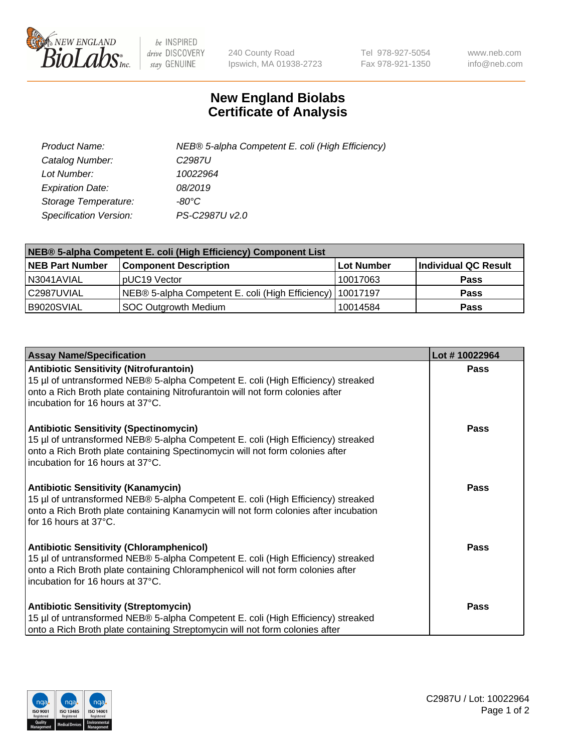

 $be$  INSPIRED drive DISCOVERY stay GENUINE

240 County Road Ipswich, MA 01938-2723 Tel 978-927-5054 Fax 978-921-1350 www.neb.com info@neb.com

## **New England Biolabs Certificate of Analysis**

| Product Name:           | NEB® 5-alpha Competent E. coli (High Efficiency) |
|-------------------------|--------------------------------------------------|
| Catalog Number:         | C <sub>2987</sub> U                              |
| Lot Number:             | 10022964                                         |
| <b>Expiration Date:</b> | 08/2019                                          |
| Storage Temperature:    | -80°C                                            |
| Specification Version:  | PS-C2987U v2.0                                   |

| NEB® 5-alpha Competent E. coli (High Efficiency) Component List |                                                  |                   |                      |  |
|-----------------------------------------------------------------|--------------------------------------------------|-------------------|----------------------|--|
| <b>NEB Part Number</b>                                          | <b>Component Description</b>                     | <b>Lot Number</b> | Individual QC Result |  |
| N3041AVIAL                                                      | pUC19 Vector                                     | 10017063          | <b>Pass</b>          |  |
| C2987UVIAL                                                      | NEB® 5-alpha Competent E. coli (High Efficiency) | l 10017197        | <b>Pass</b>          |  |
| B9020SVIAL                                                      | <b>SOC Outgrowth Medium</b>                      | 10014584          | <b>Pass</b>          |  |

| <b>Assay Name/Specification</b>                                                                                                                                                                                                                            | Lot #10022964 |
|------------------------------------------------------------------------------------------------------------------------------------------------------------------------------------------------------------------------------------------------------------|---------------|
| <b>Antibiotic Sensitivity (Nitrofurantoin)</b><br>15 µl of untransformed NEB® 5-alpha Competent E. coli (High Efficiency) streaked<br>onto a Rich Broth plate containing Nitrofurantoin will not form colonies after<br>incubation for 16 hours at 37°C.   | Pass          |
| <b>Antibiotic Sensitivity (Spectinomycin)</b><br>15 µl of untransformed NEB® 5-alpha Competent E. coli (High Efficiency) streaked<br>onto a Rich Broth plate containing Spectinomycin will not form colonies after<br>incubation for 16 hours at 37°C.     | Pass          |
| <b>Antibiotic Sensitivity (Kanamycin)</b><br>15 µl of untransformed NEB® 5-alpha Competent E. coli (High Efficiency) streaked<br>onto a Rich Broth plate containing Kanamycin will not form colonies after incubation<br>for 16 hours at 37°C.             | Pass          |
| <b>Antibiotic Sensitivity (Chloramphenicol)</b><br>15 µl of untransformed NEB® 5-alpha Competent E. coli (High Efficiency) streaked<br>onto a Rich Broth plate containing Chloramphenicol will not form colonies after<br>incubation for 16 hours at 37°C. | <b>Pass</b>   |
| <b>Antibiotic Sensitivity (Streptomycin)</b><br>15 µl of untransformed NEB® 5-alpha Competent E. coli (High Efficiency) streaked<br>onto a Rich Broth plate containing Streptomycin will not form colonies after                                           | Pass          |